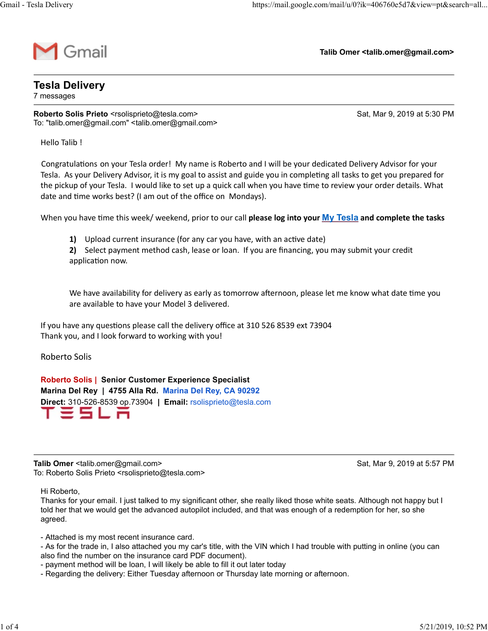

Talib Omer <talib.omer@gmail.com>

## Tesla Delivery

7 messages

Roberto Solis Prieto <rsolisprieto@tesla.com><br>Roberto Solis Prieto <rsolisprieto@tesla.com><br>Roberto Solis Prieto <rsolisprieto@tesla.com><br>Roberto Solis Prieto <rsolisprieto@tesla.com><br>Roberto Solis Prieto <rsolisprieto@tes To: "talib.omer@gmail.com" <talib.omer@gmail.com>

Hello Talib !

Intips://mail.google.com/mail/u/0?ik=406760e5d7&view=pl&search=all...<br>
Intib Omer <talib.omer@gmail.com><br>
Intib Omer <talib.omer@gmail.com><br>
Sat, Mar 9, 2019 at 5:30 PM<br>
Internal Congrapside Critical Constrained Critical C Tesla. As your Delivery Advisor, it is my goal to assist and guide you in completing all tasks to get you prepared for the pickup of your Tesla. I would like to set up a quick call when you have time to review your order details. What date and time works best? (I am out of the office on Mondays).

When you have time this week/ weekend, prior to our call please log into your My Tesla and complete the tasks

1) Upload current insurance (for any car you have, with an active date)

2) Select payment method cash, lease or loan. If you are financing, you may submit your credit application now.

We have availability for delivery as early as tomorrow afternoon, please let me know what date time you are available to have your Model 3 delivered.

If you have any questions please call the delivery office at 310 526 8539 ext 73904 Thank you, and I look forward to working with you!

Roberto Solis

Roberto Solis | Senior Customer Experience Specialist Marina Del Rey | 4755 Alla Rd. Marina Del Rey, CA 90292 Direct: 310-526-8539 op.73904 | Email: rsolisprieto@tesla.com application now.<br>
We have availability for delivery as early as tomorrow afternoon, please let me know what date time you<br>
are available to have your Model 3 delivered.<br>
If you have any questions please call the delivery o

To: Roberto Solis Prieto <rsolisprieto@tesla.com>

Hi Roberto,

Thanks for your email. I just talked to my significant other, she really liked those white seats. Although not happy but I told her that we would get the advanced autopilot included, and that was enough of a redemption for her, so she agreed.

- Attached is my most recent insurance card.

- As for the trade in, I also attached you my car's title, with the VIN which I had trouble with putting in online (you can also find the number on the insurance card PDF document).

- payment method will be loan, I will likely be able to fill it out later today
- Regarding the delivery: Either Tuesday afternoon or Thursday late morning or afternoon.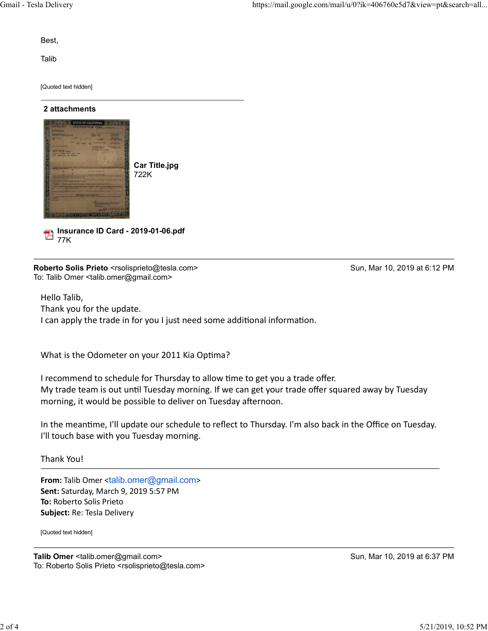Best,

Talib **Talibus and the Community of the Community** 

[Quoted text hidden]

## 2 attachments



Insurance ID Card - 2019-01-06.pdf

77K

To: Talib Omer <talib.omer@gmail.com>

Hello Talib, Thank you for the update. I can apply the trade in for you I just need some additional information.

What is the Odometer on your 2011 Kia Optima?

I recommend to schedule for Thursday to allow time to get you a trade offer. My trade team is out until Tuesday morning. If we can get your trade offer squared away by Tuesday morning, it would be possible to deliver on Tuesday afternoon. What is the Odometer on your 2011 Kia Optima?<br>
I recommend to schedule for Thursday to allow time to get you a trade offer.<br>
My trade team is out until Tuesday morning. If we can get your trade offer squared away by Tuesda

In the meantime, I'll update our schedule to reflect to Thursday. I'm also back in the Office on Tuesday. I'll touch base with you Tuesday morning.

Thank You!

From: Talib Omer <talib.omer@gmail.com> Sent: Saturday, March 9, 2019 5:57 PM To: Roberto Solis Prieto Subject: Re: Tesla Delivery

[Quoted text hidden]

To: Roberto Solis Prieto <rsolisprieto@tesla.com>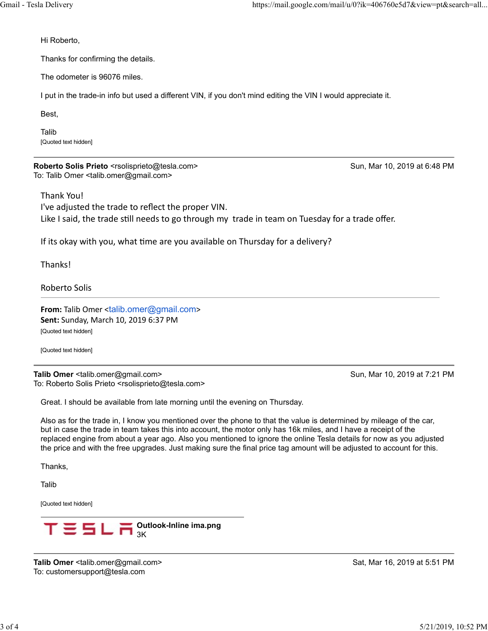Hi Roberto,

Thanks for confirming the details.

The odometer is 96076 miles.

I put in the trade-in info but used a different VIN, if you don't mind editing the VIN I would appreciate it.

Best,

Talib **Talibus and the Community of the Community** [Quoted text hidden]

To: Talib Omer <talib.omer@gmail.com>

Thank You!

Solis Prieto,<br>
Hi Roberto,<br>
Thanks for confirming the details.<br>
The odometer is 96076 miles.<br>
The odometer is 96076 miles.<br>
I put in the trade-in info but used a different VIN, if you don't mind editing the VIN I would app I've adjusted the trade to reflect the proper VIN. Like I said, the trade still needs to go through my trade in team on Tuesday for a trade offer. **ROBEND SOIRS PHRO SEASIBE PROPER THE SCALE AND SURFACT SO THE SOLUTION TO THE SOLUTION THE SOLUTION CONDUCTS**<br>
Thank You!<br>
I've adjusted the trade to reflect the proper VIN.<br>
I've adjusted the trade is fill needs to go th

If its okay with you, what time are you available on Thursday for a delivery?

**Thanks!** 

Roberto Solis

From: Talib Omer <talib.omer@gmail.com> Sent: Sunday, March 10, 2019 6:37 PM [Quoted text hidden]

[Quoted text hidden]

To: Roberto Solis Prieto <rsolisprieto@tesla.com>

Great. I should be available from late morning until the evening on Thursday.

Also as for the trade in, I know you mentioned over the phone to that the value is determined by mileage of the car, but in case the trade in team takes this into account, the motor only has 16k miles, and I have a receipt of the replaced engine from about a year ago. Also you mentioned to ignore the online Tesla details for now as you adjusted the price and with the free upgrades. Just making sure the final price tag amount will be adjusted to account for this. Talib Omer <talib.omer@gmail.com><br>
To: Roberto Solis Prieto <rsolisprieto@tesla.com><br>
Great. I should be available from late morning until the evening on Thursday.<br>
Also as for the trade in, I know you mentioned over the

Thanks,

Talib

[Quoted text hidden]



To: customersupport@tesla.com